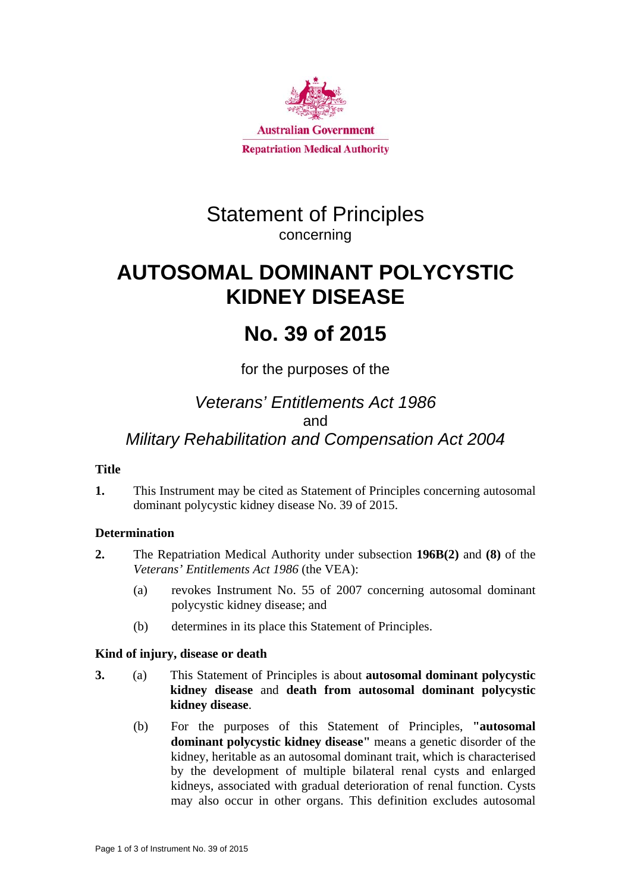

# Statement of Principles concerning

# **AUTOSOMAL DOMINANT POLYCYSTIC KIDNEY DISEASE**

# **No. 39 of 2015**

for the purposes of the

## *Veterans' Entitlements Act 1986*  and *Military Rehabilitation and Compensation Act 2004*

## **Title**

**1.** This Instrument may be cited as Statement of Principles concerning autosomal dominant polycystic kidney disease No. 39 of 2015.

## **Determination**

- **2.** The Repatriation Medical Authority under subsection **196B(2)** and **(8)** of the *Veterans' Entitlements Act 1986* (the VEA):
	- (a) revokes Instrument No. 55 of 2007 concerning autosomal dominant polycystic kidney disease; and
	- (b) determines in its place this Statement of Principles.

### **Kind of injury, disease or death**

- **3.** (a) This Statement of Principles is about **autosomal dominant polycystic kidney disease** and **death from autosomal dominant polycystic kidney disease**.
	- (b) For the purposes of this Statement of Principles, **"autosomal dominant polycystic kidney disease"** means a genetic disorder of the kidney, heritable as an autosomal dominant trait, which is characterised by the development of multiple bilateral renal cysts and enlarged kidneys, associated with gradual deterioration of renal function. Cysts may also occur in other organs. This definition excludes autosomal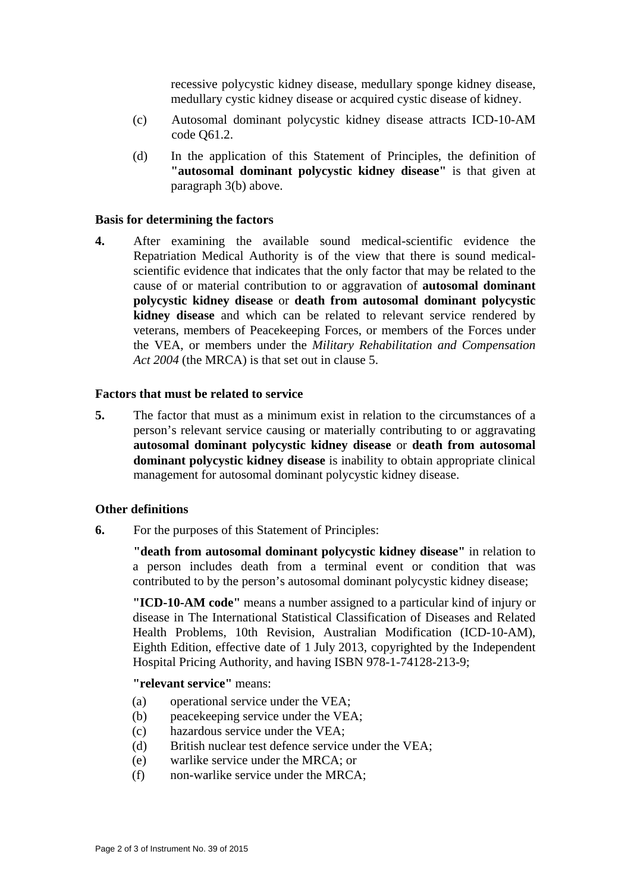recessive polycystic kidney disease, medullary sponge kidney disease, medullary cystic kidney disease or acquired cystic disease of kidney.

- (c) Autosomal dominant polycystic kidney disease attracts ICD-10-AM code Q61.2.
- (d) In the application of this Statement of Principles, the definition of **"autosomal dominant polycystic kidney disease"** is that given at paragraph 3(b) above.

#### **Basis for determining the factors**

**4.** After examining the available sound medical-scientific evidence the Repatriation Medical Authority is of the view that there is sound medicalscientific evidence that indicates that the only factor that may be related to the cause of or material contribution to or aggravation of **autosomal dominant polycystic kidney disease** or **death from autosomal dominant polycystic kidney disease** and which can be related to relevant service rendered by veterans, members of Peacekeeping Forces, or members of the Forces under the VEA, or members under the *Military Rehabilitation and Compensation Act 2004* (the MRCA) is that set out in clause 5.

#### **Factors that must be related to service**

**5.** The factor that must as a minimum exist in relation to the circumstances of a person's relevant service causing or materially contributing to or aggravating **autosomal dominant polycystic kidney disease** or **death from autosomal dominant polycystic kidney disease** is inability to obtain appropriate clinical management for autosomal dominant polycystic kidney disease.

#### **Other definitions**

**6.** For the purposes of this Statement of Principles:

**"death from autosomal dominant polycystic kidney disease"** in relation to a person includes death from a terminal event or condition that was contributed to by the person's autosomal dominant polycystic kidney disease;

**"ICD-10-AM code"** means a number assigned to a particular kind of injury or disease in The International Statistical Classification of Diseases and Related Health Problems, 10th Revision, Australian Modification (ICD-10-AM), Eighth Edition, effective date of 1 July 2013, copyrighted by the Independent Hospital Pricing Authority, and having ISBN 978-1-74128-213-9;

**"relevant service"** means:

- (a) operational service under the VEA;
- (b) peace keeping service under the VEA;
- (c) hazardous service under the VEA;
- (d) British nuclear test defence service under the VEA;
- (e) warlike service under the MRCA; or
- (f) non-warlike service under the MRCA;